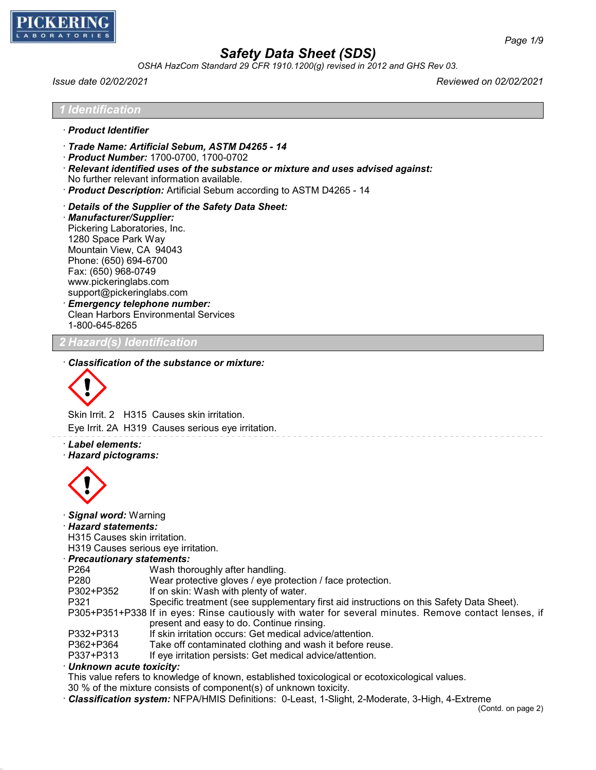

*OSHA HazCom Standard 29 CFR 1910.1200(g) revised in 2012 and GHS Rev 03.*

*Issue date 02/02/2021 Reviewed on 02/02/2021*

- · *Product Identifier*
- · *Trade Name: Artificial Sebum, ASTM D4265 14*
- · *Product Number:* 1700-0700, 1700-0702
- · *Relevant identified uses of the substance or mixture and uses advised against:* No further relevant information available.
- · *Product Description:* Artificial Sebum according to ASTM D4265 14
- · *Details of the Supplier of the Safety Data Sheet:*
- · *Manufacturer/Supplier:* Pickering Laboratories, Inc. 1280 Space Park Way Mountain View, CA 94043 Phone: (650) 694-6700 Fax: (650) 968-0749 www.pickeringlabs.com support@pickeringlabs.com · *Emergency telephone number:* Clean Harbors Environmental Services 1-800-645-8265

### *2 Hazard(s) Identification*

#### · *Classification of the substance or mixture:*



Skin Irrit. 2 H315 Causes skin irritation. Eye Irrit. 2A H319 Causes serious eye irritation.

· *Label elements:* · *Hazard pictograms:*



· *Signal word:* Warning

· *Hazard statements:*

H315 Causes skin irritation.

H319 Causes serious eye irritation.

- · *Precautionary statements:*
- P264 Wash thoroughly after handling.
- P280 Wear protective gloves / eye protection / face protection.<br>P302+P352 If on skin: Wash with plenty of water
- If on skin: Wash with plenty of water.
- P321 Specific treatment (see supplementary first aid instructions on this Safety Data Sheet).

P305+P351+P338 If in eyes: Rinse cautiously with water for several minutes. Remove contact lenses, if present and easy to do. Continue rinsing.

- P332+P313 If skin irritation occurs: Get medical advice/attention.<br>P362+P364 Take off contaminated clothing and wash it before re
- Take off contaminated clothing and wash it before reuse.
- P337+P313 If eye irritation persists: Get medical advice/attention.

### · *Unknown acute toxicity:*

This value refers to knowledge of known, established toxicological or ecotoxicological values.

- 30 % of the mixture consists of component(s) of unknown toxicity.
- · *Classification system:* NFPA/HMIS Definitions: 0-Least, 1-Slight, 2-Moderate, 3-High, 4-Extreme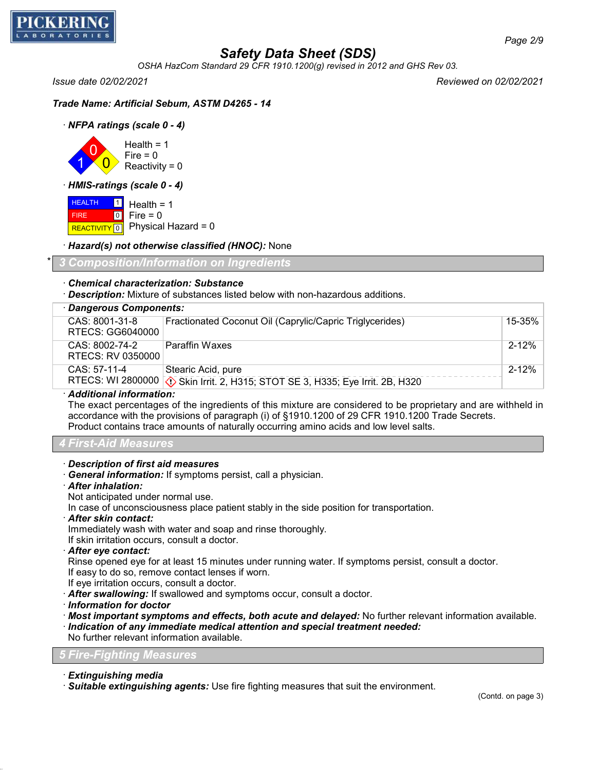

*OSHA HazCom Standard 29 CFR 1910.1200(g) revised in 2012 and GHS Rev 03.*

*Issue date 02/02/2021 Reviewed on 02/02/2021*

*Trade Name: Artificial Sebum, ASTM D4265 - 14*

· *NFPA ratings (scale 0 - 4)*

1 0  $\overline{0}$ Health  $= 1$  $Fire = 0$  $Reactivity = 0$ 

· *HMIS-ratings (scale 0 - 4)*

**HEALTH**  FIRE REACTIVITY 0  $\frac{1}{2}$  Health = 1  $\overline{0}$  $Fire = 0$ Physical Hazard = 0

### · *Hazard(s) not otherwise classified (HNOC):* None

\* *3 Composition/Information on Ingredients*

### · *Chemical characterization: Substance*

· *Description:* Mixture of substances listed below with non-hazardous additions.

| · Dangerous Components:              |                                                                                                       |           |
|--------------------------------------|-------------------------------------------------------------------------------------------------------|-----------|
| CAS: 8001-31-8<br>RTECS: GG6040000   | Fractionated Coconut Oil (Caprylic/Capric Triglycerides)                                              | 15-35%    |
| CAS: 8002-74-2<br>RTECS: RV 0350000  | <b>Paraffin Waxes</b>                                                                                 | $2 - 12%$ |
| CAS: 57-11-4                         | Stearic Acid, pure<br>RTECS: WI 2800000 (1) Skin Irrit. 2, H315; STOT SE 3, H335; Eye Irrit. 2B, H320 | $2 - 12%$ |
| A - Little - - - Little Concordiance |                                                                                                       |           |

· *Additional information:*

The exact percentages of the ingredients of this mixture are considered to be proprietary and are withheld in accordance with the provisions of paragraph (i) of §1910.1200 of 29 CFR 1910.1200 Trade Secrets. Product contains trace amounts of naturally occurring amino acids and low level salts.

### *4 First-Aid Measures*

- · *Description of first aid measures*
- · *General information:* If symptoms persist, call a physician.
- · *After inhalation:*
- Not anticipated under normal use.

In case of unconsciousness place patient stably in the side position for transportation.

· *After skin contact:*

Immediately wash with water and soap and rinse thoroughly.

If skin irritation occurs, consult a doctor.

· *After eye contact:*

Rinse opened eye for at least 15 minutes under running water. If symptoms persist, consult a doctor. If easy to do so, remove contact lenses if worn.

If eye irritation occurs, consult a doctor.

· *After swallowing:* If swallowed and symptoms occur, consult a doctor.

· *Information for doctor*

· *Most important symptoms and effects, both acute and delayed:* No further relevant information available. · *Indication of any immediate medical attention and special treatment needed:*

No further relevant information available.

### *5 Fire-Fighting Measures*

- · *Extinguishing media*
- · *Suitable extinguishing agents:* Use fire fighting measures that suit the environment.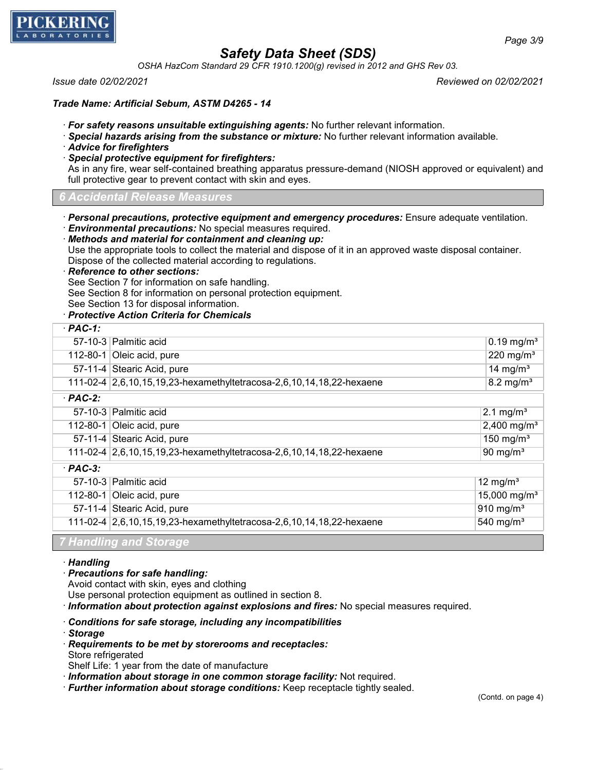

*OSHA HazCom Standard 29 CFR 1910.1200(g) revised in 2012 and GHS Rev 03.*

*Issue date 02/02/2021 Reviewed on 02/02/2021*

*Trade Name: Artificial Sebum, ASTM D4265 - 14*

- · *For safety reasons unsuitable extinguishing agents:* No further relevant information.
- · *Special hazards arising from the substance or mixture:* No further relevant information available.
- · *Advice for firefighters*
- · *Special protective equipment for firefighters:*

As in any fire, wear self-contained breathing apparatus pressure-demand (NIOSH approved or equivalent) and full protective gear to prevent contact with skin and eyes.

*6 Accidental Release Measures*

- · *Personal precautions, protective equipment and emergency procedures:* Ensure adequate ventilation.
- · *Environmental precautions:* No special measures required.
- · *Methods and material for containment and cleaning up:* Use the appropriate tools to collect the material and dispose of it in an approved waste disposal container. Dispose of the collected material according to regulations.

· *Reference to other sections:*

See Section 7 for information on safe handling.

See Section 8 for information on personal protection equipment.

- See Section 13 for disposal information.
- · *Protective Action Criteria for Chemicals*

| $·$ PAC-1:                |                                                                      |                            |
|---------------------------|----------------------------------------------------------------------|----------------------------|
|                           | 57-10-3 Palmitic acid                                                |                            |
| 112-80-1 Oleic acid, pure |                                                                      | 220 mg/m <sup>3</sup>      |
|                           | 57-11-4 Stearic Acid, pure                                           | 14 mg/ $m3$                |
|                           | 111-02-4 2,6,10,15,19,23-hexamethyltetracosa-2,6,10,14,18,22-hexaene |                            |
| $·$ PAC-2:                |                                                                      |                            |
|                           | 57-10-3 Palmitic acid                                                | 2.1 mg/m <sup>3</sup>      |
|                           | 112-80-1 Oleic acid, pure                                            | 2,400 mg/m <sup>3</sup>    |
|                           | 57-11-4 Stearic Acid, pure                                           | 150 mg/m $3$               |
|                           | 111-02-4 2,6,10,15,19,23-hexamethyltetracosa-2,6,10,14,18,22-hexaene | 90 mg/ $m3$                |
| $·$ PAC-3:                |                                                                      |                            |
|                           | 57-10-3 Palmitic acid                                                | 12 mg/ $m3$                |
|                           | 112-80-1 Oleic acid, pure                                            | $15,000$ mg/m <sup>3</sup> |
|                           | 57-11-4 Stearic Acid, pure                                           | 910 mg/m <sup>3</sup>      |
|                           | 111-02-4 2,6,10,15,19,23-hexamethyltetracosa-2,6,10,14,18,22-hexaene | 540 mg/m $3$               |
|                           | 7 <i>Handling and Chavang</i>                                        |                            |

*7 Handling and Storage*

- · *Handling*
- · *Precautions for safe handling:*

Avoid contact with skin, eyes and clothing

Use personal protection equipment as outlined in section 8.

· *Information about protection against explosions and fires:* No special measures required.

- · *Conditions for safe storage, including any incompatibilities*
- · *Storage*
- · *Requirements to be met by storerooms and receptacles:*
- Store refrigerated
- Shelf Life: 1 year from the date of manufacture
- · *Information about storage in one common storage facility:* Not required.
- · *Further information about storage conditions:* Keep receptacle tightly sealed.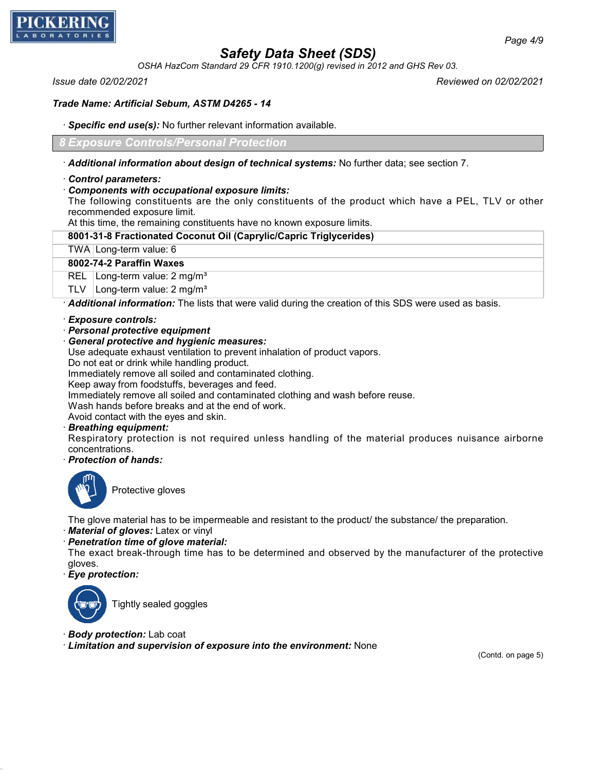

*OSHA HazCom Standard 29 CFR 1910.1200(g) revised in 2012 and GHS Rev 03.*

*Issue date 02/02/2021 Reviewed on 02/02/2021*

### *Trade Name: Artificial Sebum, ASTM D4265 - 14*

· *Specific end use(s):* No further relevant information available.

*8 Exposure Controls/Personal Protection*

· *Additional information about design of technical systems:* No further data; see section 7.

### · *Control parameters:*

### · *Components with occupational exposure limits:*

The following constituents are the only constituents of the product which have a PEL, TLV or other recommended exposure limit.

At this time, the remaining constituents have no known exposure limits.

### **8001-31-8 Fractionated Coconut Oil (Caprylic/Capric Triglycerides)**

#### TWA Long-term value: 6

### **8002-74-2 Paraffin Waxes**

REL Long-term value: 2 mg/m<sup>3</sup>

TLV  $\vert$  Long-term value: 2 mg/m<sup>3</sup>

· *Additional information:* The lists that were valid during the creation of this SDS were used as basis.

- · *Exposure controls:*
- · *Personal protective equipment*

### · *General protective and hygienic measures:*

Use adequate exhaust ventilation to prevent inhalation of product vapors.

Do not eat or drink while handling product.

Immediately remove all soiled and contaminated clothing.

Keep away from foodstuffs, beverages and feed.

Immediately remove all soiled and contaminated clothing and wash before reuse.

Wash hands before breaks and at the end of work.

Avoid contact with the eyes and skin.

### · *Breathing equipment:*

Respiratory protection is not required unless handling of the material produces nuisance airborne concentrations.

· *Protection of hands:*



Protective gloves

The glove material has to be impermeable and resistant to the product/ the substance/ the preparation.

· *Material of gloves:* Latex or vinyl

· *Penetration time of glove material:*

The exact break-through time has to be determined and observed by the manufacturer of the protective gloves.

· *Eye protection:*



Tightly sealed goggles

- · *Body protection:* Lab coat
- · *Limitation and supervision of exposure into the environment:* None

(Contd. on page 5)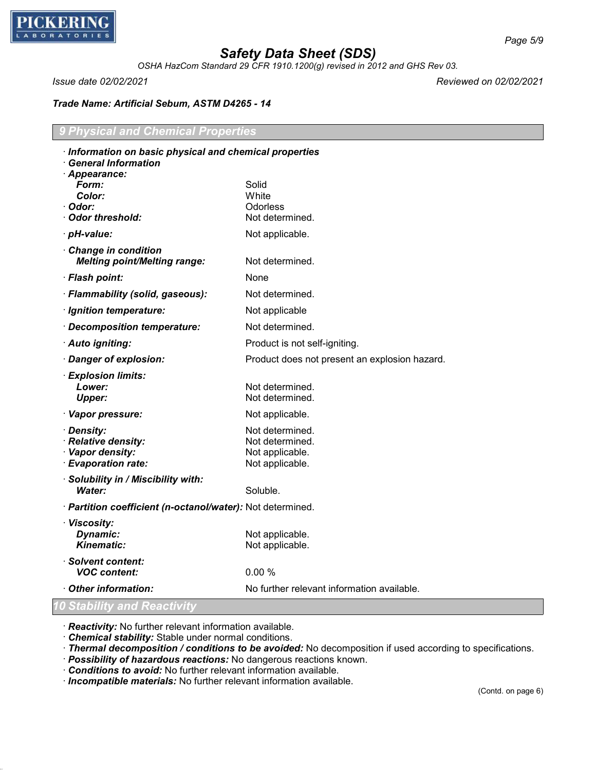

*OSHA HazCom Standard 29 CFR 1910.1200(g) revised in 2012 and GHS Rev 03.*

*Issue date 02/02/2021 Reviewed on 02/02/2021*

*Trade Name: Artificial Sebum, ASTM D4265 - 14*

### *9 Physical and Chemical Properties*

| Information on basic physical and chemical properties<br><b>General Information</b> |                                                                          |
|-------------------------------------------------------------------------------------|--------------------------------------------------------------------------|
| · Appearance:<br>Form:<br>Color:<br>· Odor:<br>Odor threshold:                      | Solid<br>White<br>Odorless<br>Not determined.                            |
| · pH-value:                                                                         | Not applicable.                                                          |
| Change in condition<br><b>Melting point/Melting range:</b>                          | Not determined.                                                          |
| · Flash point:                                                                      | None                                                                     |
| · Flammability (solid, gaseous):                                                    | Not determined.                                                          |
| · Ignition temperature:                                                             | Not applicable                                                           |
| · Decomposition temperature:                                                        | Not determined.                                                          |
| · Auto igniting:                                                                    | Product is not self-igniting.                                            |
| · Danger of explosion:                                                              | Product does not present an explosion hazard.                            |
| · Explosion limits:<br>Lower:<br><b>Upper:</b>                                      | Not determined.<br>Not determined.                                       |
| · Vapor pressure:                                                                   | Not applicable.                                                          |
| · Density:<br>· Relative density:<br>· Vapor density:<br>· Evaporation rate:        | Not determined.<br>Not determined.<br>Not applicable.<br>Not applicable. |
| · Solubility in / Miscibility with:<br>Water:                                       | Soluble.                                                                 |
| · Partition coefficient (n-octanol/water): Not determined.                          |                                                                          |
| · Viscosity:<br>Dynamic:<br><b>Kinematic:</b>                                       | Not applicable.<br>Not applicable.                                       |
| · Solvent content:<br><b>VOC content:</b>                                           | 0.00%                                                                    |
| Other information:                                                                  | No further relevant information available.                               |
| 10 Stability and Reactivity                                                         |                                                                          |

· *Reactivity:* No further relevant information available.

· *Chemical stability:* Stable under normal conditions.

· *Thermal decomposition / conditions to be avoided:* No decomposition if used according to specifications.

· *Possibility of hazardous reactions:* No dangerous reactions known.

· *Conditions to avoid:* No further relevant information available.

· *Incompatible materials:* No further relevant information available.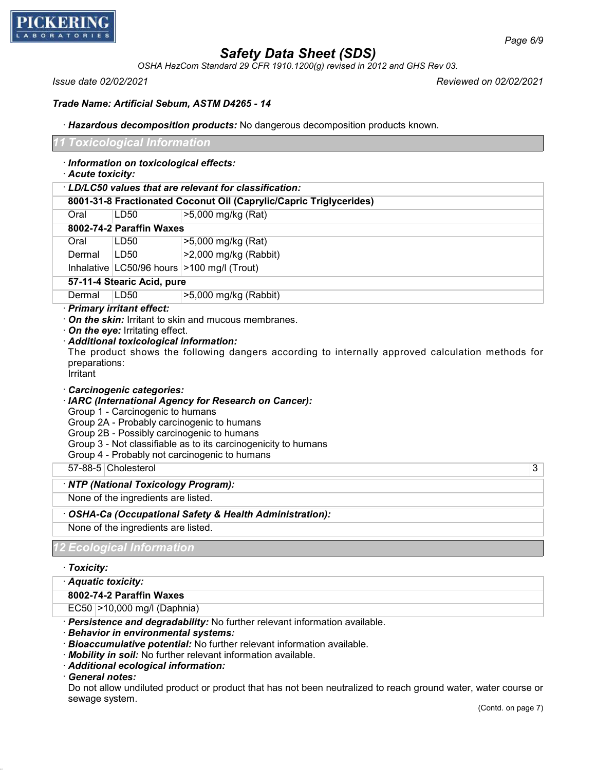

*OSHA HazCom Standard 29 CFR 1910.1200(g) revised in 2012 and GHS Rev 03.*

*Issue date 02/02/2021 Reviewed on 02/02/2021*

### *Trade Name: Artificial Sebum, ASTM D4265 - 14*

· *Hazardous decomposition products:* No dangerous decomposition products known.

|                           | Toxicological Information                                                  |                                                                                                                                                                                                                                                                      |
|---------------------------|----------------------------------------------------------------------------|----------------------------------------------------------------------------------------------------------------------------------------------------------------------------------------------------------------------------------------------------------------------|
| · Acute toxicity:         | · Information on toxicological effects:                                    |                                                                                                                                                                                                                                                                      |
|                           |                                                                            | · LD/LC50 values that are relevant for classification:                                                                                                                                                                                                               |
|                           |                                                                            | 8001-31-8 Fractionated Coconut Oil (Caprylic/Capric Triglycerides)                                                                                                                                                                                                   |
| Oral                      | <b>LD50</b>                                                                | >5,000 mg/kg (Rat)                                                                                                                                                                                                                                                   |
|                           | 8002-74-2 Paraffin Waxes                                                   |                                                                                                                                                                                                                                                                      |
| Oral                      | LD50                                                                       | >5,000 mg/kg (Rat)                                                                                                                                                                                                                                                   |
| Dermal                    | LD50                                                                       | >2,000 mg/kg (Rabbit)                                                                                                                                                                                                                                                |
|                           |                                                                            | Inhalative $ $ LC50/96 hours $ $ >100 mg/l (Trout)                                                                                                                                                                                                                   |
|                           | 57-11-4 Stearic Acid, pure                                                 |                                                                                                                                                                                                                                                                      |
| Dermal                    | <b>LD50</b>                                                                | >5,000 mg/kg (Rabbit)                                                                                                                                                                                                                                                |
| preparations:<br>Irritant | · Additional toxicological information:<br><b>Carcinogenic categories:</b> | The product shows the following dangers according to internally approved calculation methods for                                                                                                                                                                     |
|                           | Group 1 - Carcinogenic to humans                                           | · IARC (International Agency for Research on Cancer):<br>Group 2A - Probably carcinogenic to humans<br>Group 2B - Possibly carcinogenic to humans<br>Group 3 - Not classifiable as to its carcinogenicity to humans<br>Group 4 - Probably not carcinogenic to humans |
| 57-88-5 Cholesterol       |                                                                            | 3                                                                                                                                                                                                                                                                    |
|                           | · NTP (National Toxicology Program):                                       |                                                                                                                                                                                                                                                                      |
|                           | None of the ingredients are listed.                                        |                                                                                                                                                                                                                                                                      |
|                           |                                                                            | OSHA-Ca (Occupational Safety & Health Administration):                                                                                                                                                                                                               |
|                           | None of the ingredients are listed.                                        |                                                                                                                                                                                                                                                                      |
|                           | <b>Ecological Information</b>                                              |                                                                                                                                                                                                                                                                      |
|                           |                                                                            |                                                                                                                                                                                                                                                                      |
| · Toxicity:               |                                                                            |                                                                                                                                                                                                                                                                      |
| · Aquatic toxicity:       |                                                                            |                                                                                                                                                                                                                                                                      |
|                           | 8002-74-2 Paraffin Waxes                                                   |                                                                                                                                                                                                                                                                      |
|                           | EC50 > 10,000 mg/l (Daphnia)                                               |                                                                                                                                                                                                                                                                      |
|                           | <b>Behavior in environmental systems:</b>                                  | · Persistence and degradability: No further relevant information available.<br>Bioaccumulative potential: No further relevant information available.                                                                                                                 |

- · *Mobility in soil:* No further relevant information available.
- · *Additional ecological information:*

· *General notes:*

Do not allow undiluted product or product that has not been neutralized to reach ground water, water course or sewage system.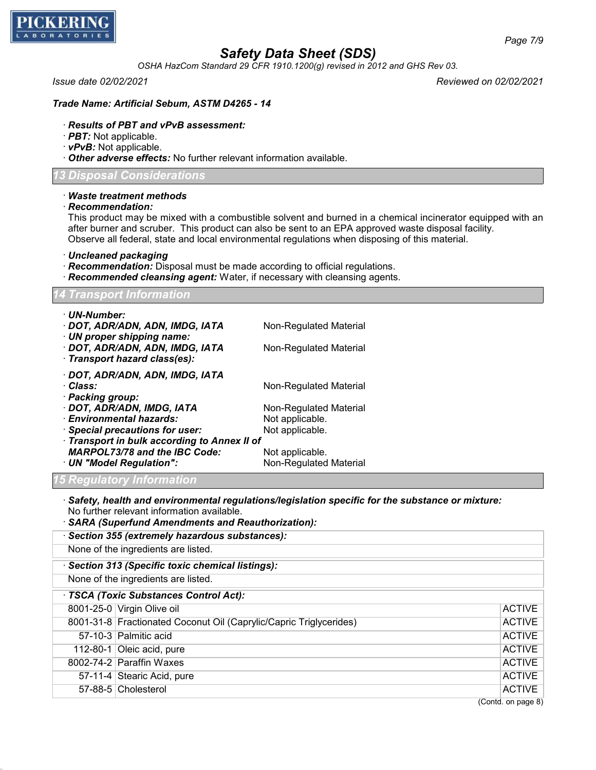

*OSHA HazCom Standard 29 CFR 1910.1200(g) revised in 2012 and GHS Rev 03.*

*Issue date 02/02/2021 Reviewed on 02/02/2021*

#### *Trade Name: Artificial Sebum, ASTM D4265 - 14*

### · *Results of PBT and vPvB assessment:*

- · *PBT:* Not applicable.
- · *vPvB:* Not applicable.
- · *Other adverse effects:* No further relevant information available.

### *13 Disposal Considerations*

#### · *Waste treatment methods*

· *Recommendation:*

This product may be mixed with a combustible solvent and burned in a chemical incinerator equipped with an after burner and scruber. This product can also be sent to an EPA approved waste disposal facility. Observe all federal, state and local environmental regulations when disposing of this material.

· *Uncleaned packaging*

- · *Recommendation:* Disposal must be made according to official regulations.
- · *Recommended cleansing agent:* Water, if necessary with cleansing agents.

#### *14 Transport Information*

| · UN-Number:                                 |                        |
|----------------------------------------------|------------------------|
| · DOT, ADR/ADN, ADN, IMDG, IATA              | Non-Regulated Material |
| · UN proper shipping name:                   |                        |
| · DOT, ADR/ADN, ADN, IMDG, IATA              | Non-Regulated Material |
| · Transport hazard class(es):                |                        |
|                                              |                        |
| · DOT, ADR/ADN, ADN, IMDG, IATA              |                        |
| · Class:                                     | Non-Regulated Material |
| · Packing group:                             |                        |
| · DOT, ADR/ADN, IMDG, IATA                   | Non-Regulated Material |
| · Environmental hazards:                     | Not applicable.        |
| · Special precautions for user:              | Not applicable.        |
|                                              |                        |
| · Transport in bulk according to Annex II of |                        |
| <b>MARPOL73/78 and the IBC Code:</b>         | Not applicable.        |
| · UN "Model Regulation":                     | Non-Regulated Material |
| <u>5 Regulatory Information</u>              |                        |
|                                              |                        |

· *Safety, health and environmental regulations/legislation specific for the substance or mixture:* No further relevant information available.

| · SARA (Superfund Amendments and Reauthorization):                 |                    |
|--------------------------------------------------------------------|--------------------|
| · Section 355 (extremely hazardous substances):                    |                    |
| None of the ingredients are listed.                                |                    |
| Section 313 (Specific toxic chemical listings):                    |                    |
| None of the ingredients are listed.                                |                    |
| · TSCA (Toxic Substances Control Act):                             |                    |
| 8001-25-0 Virgin Olive oil                                         | <b>ACTIVE</b>      |
| 8001-31-8 Fractionated Coconut Oil (Caprylic/Capric Triglycerides) | <b>ACTIVE</b>      |
| 57-10-3 Palmitic acid                                              | <b>ACTIVE</b>      |
| 112-80-1 Oleic acid, pure                                          | <b>ACTIVE</b>      |
| 8002-74-2 Paraffin Waxes                                           | <b>ACTIVE</b>      |
| 57-11-4 Stearic Acid, pure                                         | <b>ACTIVE</b>      |
| 57-88-5 Cholesterol                                                | <b>ACTIVE</b>      |
|                                                                    | (Contd. on page 8) |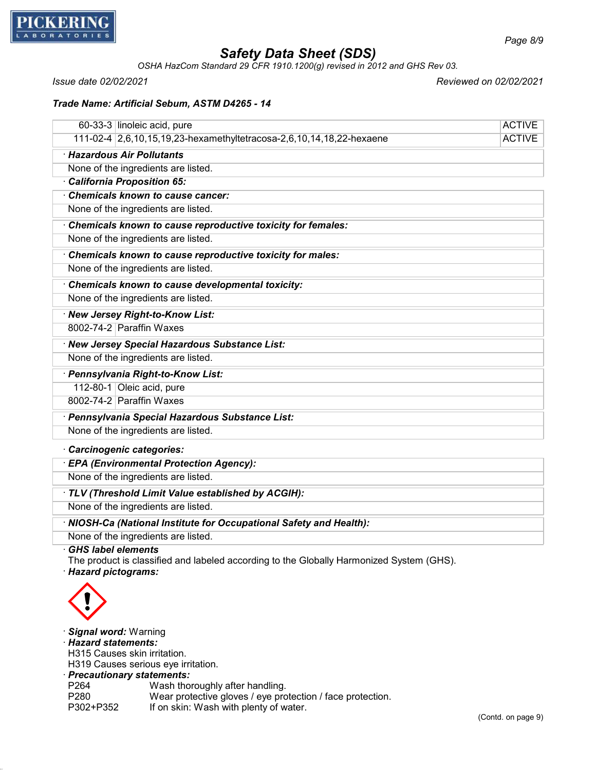

*OSHA HazCom Standard 29 CFR 1910.1200(g) revised in 2012 and GHS Rev 03.*

*Issue date 02/02/2021 Reviewed on 02/02/2021*

### *Trade Name: Artificial Sebum, ASTM D4265 - 14*

| 60-33-3 linoleic acid, pure                                          | <b>ACTIVE</b> |
|----------------------------------------------------------------------|---------------|
| 111-02-4 2,6,10,15,19,23-hexamethyltetracosa-2,6,10,14,18,22-hexaene | <b>ACTIVE</b> |
| · Hazardous Air Pollutants                                           |               |
| None of the ingredients are listed.                                  |               |
| California Proposition 65:                                           |               |
| <b>Chemicals known to cause cancer:</b>                              |               |
| None of the ingredients are listed.                                  |               |
| Chemicals known to cause reproductive toxicity for females:          |               |
| None of the ingredients are listed.                                  |               |
| Chemicals known to cause reproductive toxicity for males:            |               |
| None of the ingredients are listed.                                  |               |
| Chemicals known to cause developmental toxicity:                     |               |
| None of the ingredients are listed.                                  |               |
| · New Jersey Right-to-Know List:                                     |               |
| 8002-74-2 Paraffin Waxes                                             |               |
| New Jersey Special Hazardous Substance List:                         |               |
| None of the ingredients are listed.                                  |               |
| · Pennsylvania Right-to-Know List:                                   |               |
| 112-80-1 Oleic acid, pure                                            |               |
| 8002-74-2 Paraffin Waxes                                             |               |
| · Pennsylvania Special Hazardous Substance List:                     |               |
| None of the ingredients are listed.                                  |               |
| · Carcinogenic categories:                                           |               |
| · EPA (Environmental Protection Agency):                             |               |
| None of the ingredients are listed.                                  |               |
| TLV (Threshold Limit Value established by ACGIH):                    |               |

None of the ingredients are listed.

· *NIOSH-Ca (National Institute for Occupational Safety and Health):*

None of the ingredients are listed.

· *GHS label elements*

The product is classified and labeled according to the Globally Harmonized System (GHS).

· *Hazard pictograms:*



· *Signal word:* Warning

· *Hazard statements:*

H315 Causes skin irritation.

H319 Causes serious eye irritation.

# · *Precautionary statements:*

P264 Wash thoroughly after handling.<br>P280 Wear protective gloves / eve pro P280 Wear protective gloves / eye protection / face protection.<br>P302+P352 If on skin: Wash with plenty of water. If on skin: Wash with plenty of water.